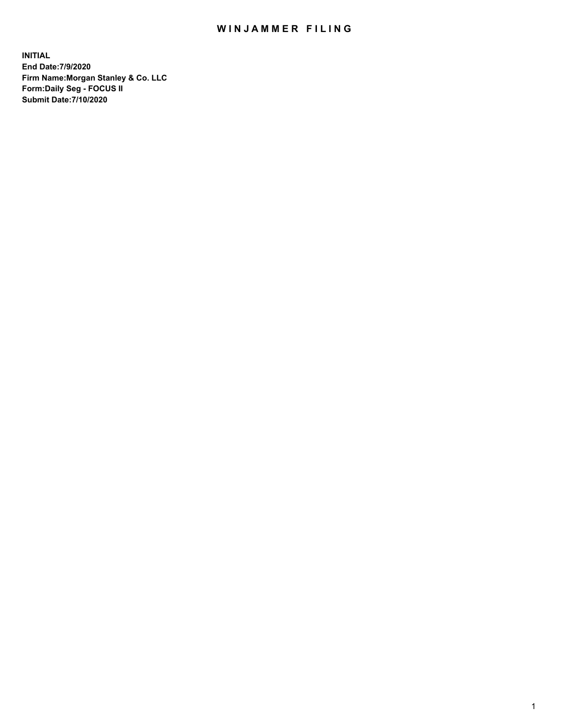## WIN JAMMER FILING

**INITIAL End Date:7/9/2020 Firm Name:Morgan Stanley & Co. LLC Form:Daily Seg - FOCUS II Submit Date:7/10/2020**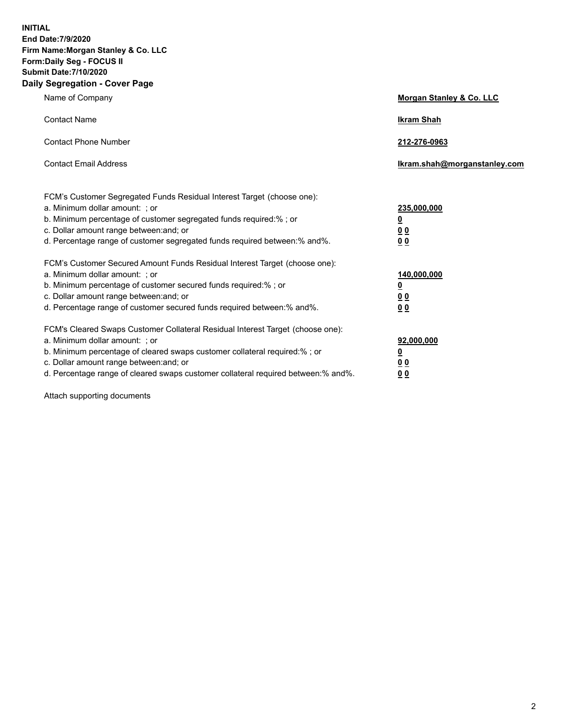**INITIAL End Date:7/9/2020 Firm Name:Morgan Stanley & Co. LLC Form:Daily Seg - FOCUS II Submit Date:7/10/2020 Daily Segregation - Cover Page**

| Name of Company                                                                                          | Morgan Stanley & Co. LLC     |
|----------------------------------------------------------------------------------------------------------|------------------------------|
| <b>Contact Name</b>                                                                                      | <b>Ikram Shah</b>            |
| <b>Contact Phone Number</b>                                                                              | 212-276-0963                 |
| <b>Contact Email Address</b>                                                                             | Ikram.shah@morganstanley.com |
|                                                                                                          |                              |
| FCM's Customer Segregated Funds Residual Interest Target (choose one):<br>a. Minimum dollar amount: ; or | 235,000,000                  |
| b. Minimum percentage of customer segregated funds required:% ; or                                       | <u>0</u>                     |
| c. Dollar amount range between: and; or                                                                  | <u>00</u>                    |
| d. Percentage range of customer segregated funds required between: % and %.                              | 0 <sup>0</sup>               |
| FCM's Customer Secured Amount Funds Residual Interest Target (choose one):                               |                              |
| a. Minimum dollar amount: ; or                                                                           | 140,000,000                  |
| b. Minimum percentage of customer secured funds required:% ; or                                          | <u>0</u>                     |
| c. Dollar amount range between: and; or                                                                  | <u>0 0</u>                   |
| d. Percentage range of customer secured funds required between:% and%.                                   | 0 Q                          |
| FCM's Cleared Swaps Customer Collateral Residual Interest Target (choose one):                           |                              |
| a. Minimum dollar amount: ; or                                                                           | 92,000,000                   |
| b. Minimum percentage of cleared swaps customer collateral required:% ; or                               | <u>0</u>                     |
| c. Dollar amount range between: and; or                                                                  | 0 Q                          |
| d. Percentage range of cleared swaps customer collateral required between:% and%.                        | 0 <sub>0</sub>               |

Attach supporting documents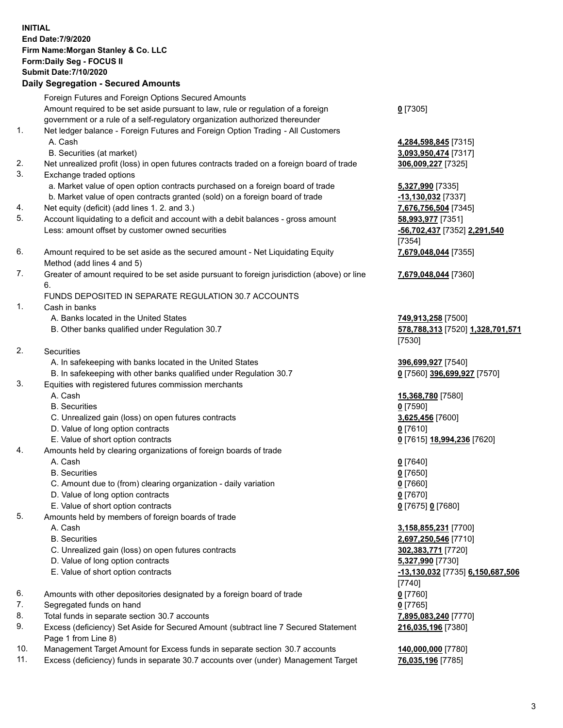## **INITIAL End Date:7/9/2020 Firm Name:Morgan Stanley & Co. LLC Form:Daily Seg - FOCUS II Submit Date:7/10/2020 Daily Segregation - Secured Amounts** Foreign Futures and Foreign Options Secured Amounts Amount required to be set aside pursuant to law, rule or regulation of a foreign government or a rule of a self-regulatory organization authorized thereunder 1. Net ledger balance - Foreign Futures and Foreign Option Trading - All Customers A. Cash **4,284,598,845** [7315] B. Securities (at market) **3,093,950,474** [7317] 2. Net unrealized profit (loss) in open futures contracts traded on a foreign board of trade **306,009,227** [7325] 3. Exchange traded options a. Market value of open option contracts purchased on a foreign board of trade **5,327,990** [7335] b. Market value of open contracts granted (sold) on a foreign board of trade **-13,130,032** [7337] 4. Net equity (deficit) (add lines 1. 2. and 3.) **7,676,756,504** [7345] 5. Account liquidating to a deficit and account with a debit balances - gross amount **58,993,977** [7351] Less: amount offset by customer owned securities **-56,702,437** [7352] **2,291,540** 6. Amount required to be set aside as the secured amount - Net Liquidating Equity Method (add lines 4 and 5) 7. Greater of amount required to be set aside pursuant to foreign jurisdiction (above) or line 6. FUNDS DEPOSITED IN SEPARATE REGULATION 30.7 ACCOUNTS 1. Cash in banks A. Banks located in the United States **749,913,258** [7500] B. Other banks qualified under Regulation 30.7 **578,788,313** [7520] **1,328,701,571** 2. Securities A. In safekeeping with banks located in the United States **396,699,927** [7540] B. In safekeeping with other banks qualified under Regulation 30.7 **0** [7560] **396,699,927** [7570] 3. Equities with registered futures commission merchants A. Cash **15,368,780** [7580] B. Securities **0** [7590] C. Unrealized gain (loss) on open futures contracts **3,625,456** [7600] D. Value of long option contracts **0** [7610] E. Value of short option contracts **0** [7615] **18,994,236** [7620] 4. Amounts held by clearing organizations of foreign boards of trade A. Cash **0** [7640] B. Securities **0** [7650] C. Amount due to (from) clearing organization - daily variation **0** [7660] D. Value of long option contracts **0** [7670] E. Value of short option contracts **0** [7675] **0** [7680] 5. Amounts held by members of foreign boards of trade A. Cash **3,158,855,231** [7700] B. Securities **2,697,250,546** [7710] C. Unrealized gain (loss) on open futures contracts **302,383,771** [7720] D. Value of long option contracts **5,327,990** [7730] E. Value of short option contracts **-13,130,032** [7735] **6,150,687,506** 6. Amounts with other depositories designated by a foreign board of trade **0** [7760] 7. Segregated funds on hand **0** [7765]

- 
- 8. Total funds in separate section 30.7 accounts **7,895,083,240** [7770]
- 9. Excess (deficiency) Set Aside for Secured Amount (subtract line 7 Secured Statement Page 1 from Line 8)
- 10. Management Target Amount for Excess funds in separate section 30.7 accounts **140,000,000** [7780]
- 11. Excess (deficiency) funds in separate 30.7 accounts over (under) Management Target **76,035,196** [7785]

**0** [7305]

[7354] **7,679,048,044** [7355]

**7,679,048,044** [7360]

[7530]

[7740] **216,035,196** [7380]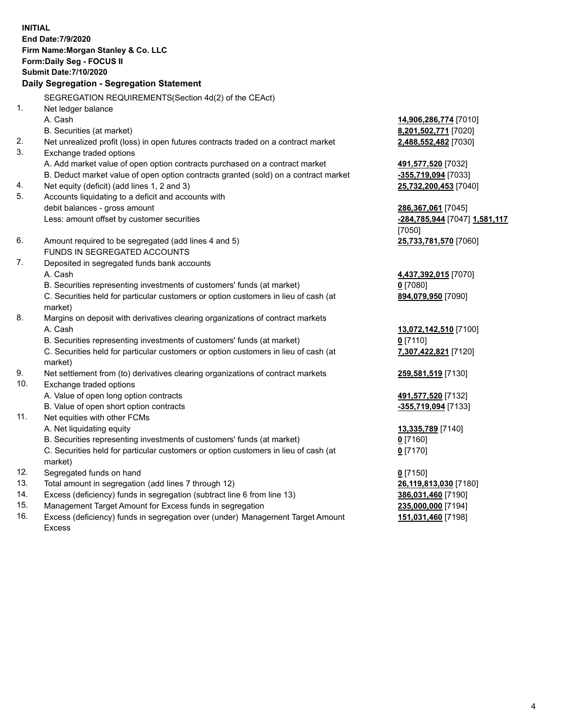**INITIAL End Date:7/9/2020 Firm Name:Morgan Stanley & Co. LLC Form:Daily Seg - FOCUS II Submit Date:7/10/2020 Daily Segregation - Segregation Statement** SEGREGATION REQUIREMENTS(Section 4d(2) of the CEAct) 1. Net ledger balance A. Cash **14,906,286,774** [7010] B. Securities (at market) **8,201,502,771** [7020] 2. Net unrealized profit (loss) in open futures contracts traded on a contract market **2,488,552,482** [7030] 3. Exchange traded options A. Add market value of open option contracts purchased on a contract market **491,577,520** [7032] B. Deduct market value of open option contracts granted (sold) on a contract market **-355,719,094** [7033] 4. Net equity (deficit) (add lines 1, 2 and 3) **25,732,200,453** [7040] 5. Accounts liquidating to a deficit and accounts with debit balances - gross amount **286,367,061** [7045] Less: amount offset by customer securities **-284,785,944** [7047] **1,581,117** [7050] 6. Amount required to be segregated (add lines 4 and 5) **25,733,781,570** [7060] FUNDS IN SEGREGATED ACCOUNTS 7. Deposited in segregated funds bank accounts A. Cash **4,437,392,015** [7070] B. Securities representing investments of customers' funds (at market) **0** [7080] C. Securities held for particular customers or option customers in lieu of cash (at market) **894,079,950** [7090] 8. Margins on deposit with derivatives clearing organizations of contract markets A. Cash **13,072,142,510** [7100] B. Securities representing investments of customers' funds (at market) **0** [7110] C. Securities held for particular customers or option customers in lieu of cash (at market) **7,307,422,821** [7120] 9. Net settlement from (to) derivatives clearing organizations of contract markets **259,581,519** [7130] 10. Exchange traded options A. Value of open long option contracts **491,577,520** [7132] B. Value of open short option contracts **-355,719,094** [7133] 11. Net equities with other FCMs A. Net liquidating equity **13,335,789** [7140] B. Securities representing investments of customers' funds (at market) **0** [7160] C. Securities held for particular customers or option customers in lieu of cash (at market) **0** [7170] 12. Segregated funds on hand **0** [7150] 13. Total amount in segregation (add lines 7 through 12) **26,119,813,030** [7180] 14. Excess (deficiency) funds in segregation (subtract line 6 from line 13) **386,031,460** [7190] 15. Management Target Amount for Excess funds in segregation **235,000,000** [7194]

16. Excess (deficiency) funds in segregation over (under) Management Target Amount Excess

**151,031,460** [7198]